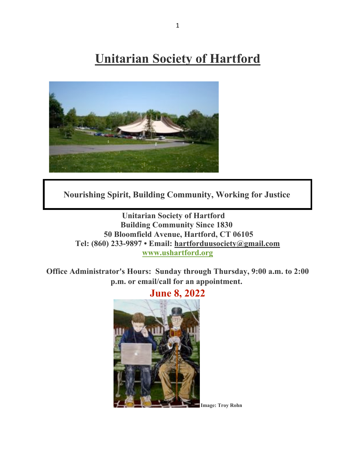**Unitarian Society of Hartford**



**Nourishing Spirit, Building Community, Working for Justice**

 **Unitarian Society of Hartford Building Community Since 1830 50 Bloomfield Avenue, Hartford, CT 06105 Tel: (860) 233-9897 • Email: hartforduusociety@gmail.com www.ushartford.org**

**Office Administrator's Hours: Sunday through Thursday, 9:00 a.m. to 2:00 p.m. or email/call for an appointment.**



**Image: Troy Rohn**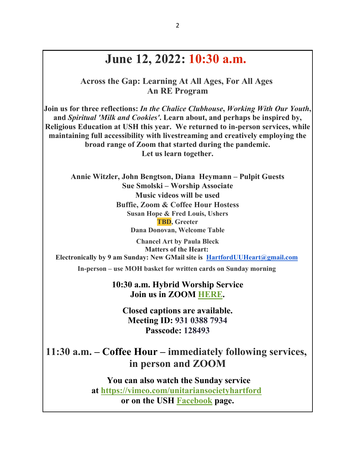# **June 12, 2022: 10:30 a.m.**

**Across the Gap: Learning At All Ages, For All Ages An RE Program**

**Join us for three reflections:** *In the Chalice Clubhouse***,** *Working With Our Youth***, and** *Spiritual 'Milk and Cookies'***. Learn about, and perhaps be inspired by, Religious Education at USH this year. We returned to in-person services, while maintaining full accessibility with livestreaming and creatively employing the broad range of Zoom that started during the pandemic. Let us learn together.**

> **Annie Witzler, John Bengtson, Diana Heymann – Pulpit Guests Sue Smolski – Worship Associate Music videos will be used Buffie, Zoom & Coffee Hour Hostess Susan Hope & Fred Louis, Ushers TBD, Greeter Dana Donovan, Welcome Table**

**Chancel Art by Paula Bleck Matters of the Heart: Electronically by 9 am Sunday: New GMail site is HartfordUUHeart@gmail.com**

**In-person – use MOH basket for written cards on Sunday morning**

**10:30 a.m. Hybrid Worship Service Join us in ZOOM HERE.**

**Closed captions are available. Meeting ID: 931 0388 7934 Passcode: 128493**

**11:30 a.m. – Coffee Hour – immediately following services, in person and ZOOM**

> **You can also watch the Sunday service at https://vimeo.com/unitariansocietyhartford or on the USH Facebook page.**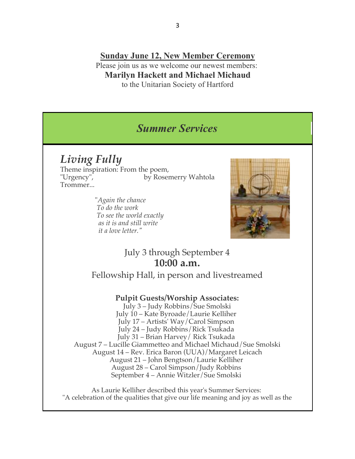**Sunday June 12, New Member Ceremony**

Please join us as we welcome our newest members: **Marilyn Hackett and Michael Michaud** to the Unitarian Society of Hartford

## *Summer Services*

# *Living Fully*

Theme inspiration: From the poem, "Urgency", by Rosemerry Wahtola Trommer...

> "*Again the chance To do the work To see the world exactly as it is and still write it a love letter."*



## July 3 through September 4 **10:00 a.m.**

### Fellowship Hall, in person and livestreamed

#### **Pulpit Guests/Worship Associates:**

July 3 – Judy Robbins/Sue Smolski July 10 – Kate Byroade/Laurie Kelliher July 17 – Artists' Way/Carol Simpson July 24 – Judy Robbins/Rick Tsukada July 31 – Brian Harvey/ Rick Tsukada August 7 – Lucille Giammetteo and Michael Michaud/Sue Smolski August 14 – Rev. Erica Baron (UUA)/Margaret Leicach August 21 – John Bengtson/Laurie Kelliher August 28 – Carol Simpson/Judy Robbins September 4 – Annie Witzler/Sue Smolski

As Laurie Kelliher described this year's Summer Services: "A celebration of the qualities that give our life meaning and joy as well as the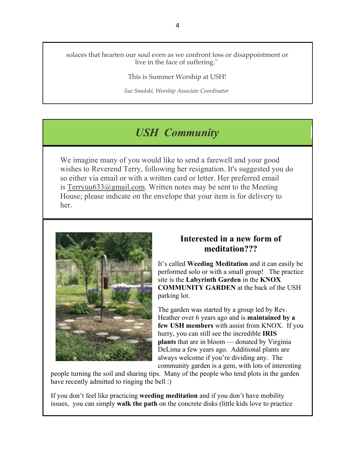solaces that hearten our soul even as we confront loss or disappointment or live in the face of suffering."

This is Summer Worship at USH!

*Sue Smolski, Worship Associate Coordinator*

# *USH Community*

We imagine many of you would like to send a farewell and your good wishes to Reverend Terry, following her resignation. It's suggested you do so either via email or with a written card or letter. Her preferred email is Terryuu633@gmail.com. Written notes may be sent to the Meeting House; please indicate on the envelope that your item is for delivery to her.



#### **Interested in a new form of meditation???**

It's called **Weeding Meditation** and it can easily be performed solo or with a small group! The practice site is the **Labyrinth Garden** in the **KNOX COMMUNITY GARDEN** at the back of the USH parking lot.

The garden was started by a group led by Rev. Heather over 6 years ago and is **maintained by a few USH members** with assist from KNOX. If you hurry, you can still see the incredible **IRIS plants** that are in bloom — donated by Virginia DeLima a few years ago. Additional plants are always welcome if you're dividing any. The community garden is a gem, with lots of interesting

people turning the soil and sharing tips. Many of the people who tend plots in the garden have recently admitted to ringing the bell :)

If you don't feel like practicing **weeding meditation** and if you don't have mobility issues, you can simply **walk the path** on the concrete disks (little kids love to practice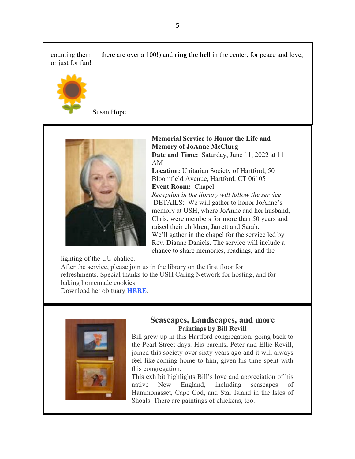counting them — there are over a 100!) and **ring the bell** in the center, for peace and love, or just for fun!



Susan Hope



**Memorial Service to Honor the Life and Memory of JoAnne McClurg Date and Time:** Saturday, June 11, 2022 at 11 AM **Location:** Unitarian Society of Hartford, 50 Bloomfield Avenue, Hartford, CT 06105 **Event Room:** Chapel *Reception in the library will follow the service* DETAILS: We will gather to honor JoAnne's memory at USH, where JoAnne and her husband, Chris, were members for more than 50 years and

raised their children, Jarrett and Sarah. We'll gather in the chapel for the service led by Rev. Dianne Daniels. The service will include a chance to share memories, readings, and the

lighting of the UU chalice.

After the service, please join us in the library on the first floor for refreshments. Special thanks to the USH Caring Network for hosting, and for baking homemade cookies!

Download her obituary **HERE**.



#### **Seascapes, Landscapes, and more Paintings by Bill Revill**

Bill grew up in this Hartford congregation, going back to the Pearl Street days. His parents, Peter and Ellie Revill, joined this society over sixty years ago and it will always feel like coming home to him, given his time spent with this congregation.

This exhibit highlights Bill's love and appreciation of his native New England, including seascapes of Hammonasset, Cape Cod, and Star Island in the Isles of Shoals. There are paintings of chickens, too.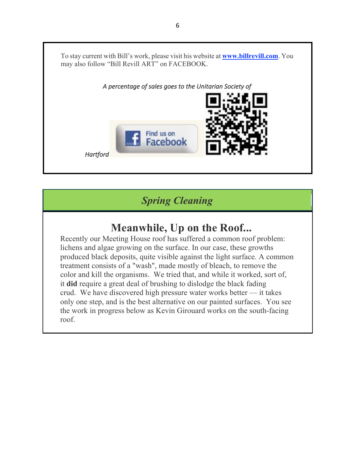To stay current with Bill's work, please visit his website at **www.billrevill.com**. You may also follow "Bill Revill ART" on FACEBOOK.



*Spring Cleaning*

# **Meanwhile, Up on the Roof...**

Recently our Meeting House roof has suffered a common roof problem: lichens and algae growing on the surface. In our case, these growths produced black deposits, quite visible against the light surface. A common treatment consists of a "wash", made mostly of bleach, to remove the color and kill the organisms. We tried that, and while it worked, sort of, it **did** require a great deal of brushing to dislodge the black fading crud. We have discovered high pressure water works better — it takes only one step, and is the best alternative on our painted surfaces. You see the work in progress below as Kevin Girouard works on the south-facing roof.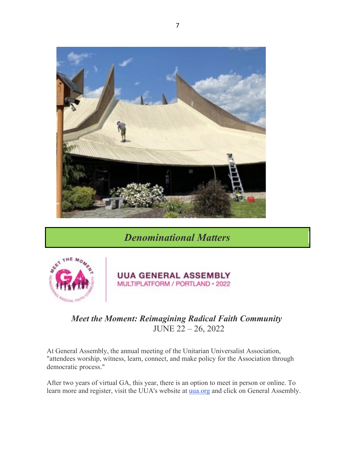

*Denominational Matters*



#### **UUA GENERAL ASSEMBLY** MULTIPLATFORM / PORTLAND · 2022

### *Meet the Moment: Reimagining Radical Faith Community* JUNE 22 – 26, 2022

At General Assembly, the annual meeting of the Unitarian Universalist Association, "attendees worship, witness, learn, connect, and make policy for the Association through democratic process."

After two years of virtual GA, this year, there is an option to meet in person or online. To learn more and register, visit the UUA's website at **uua.org** and click on General Assembly.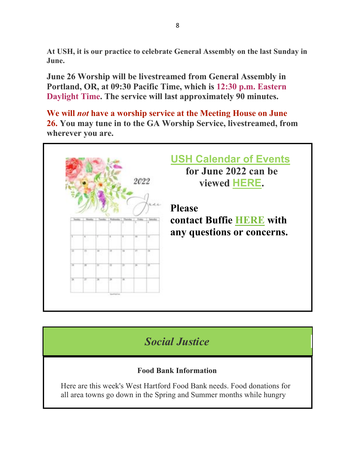**At USH, it is our practice to celebrate General Assembly on the last Sunday in June.**

**June 26 Worship will be livestreamed from General Assembly in Portland, OR, at 09:30 Pacific Time, which is 12:30 p.m. Eastern Daylight Time. The service will last approximately 90 minutes.**

**We will** *not* **have a worship service at the Meeting House on June 26. You may tune in to the GA Worship Service, livestreamed, from wherever you are.**



# *Social Justice*

## **Food Bank Information**

Here are this week's West Hartford Food Bank needs. Food donations for all area towns go down in the Spring and Summer months while hungry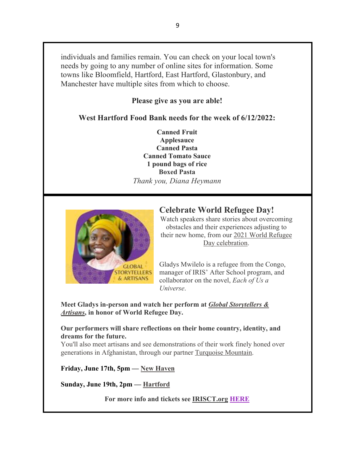individuals and families remain. You can check on your local town's needs by going to any number of online sites for information. Some towns like Bloomfield, Hartford, East Hartford, Glastonbury, and Manchester have multiple sites from which to choose.

#### **Please give as you are able!**

#### **West Hartford Food Bank needs for the week of 6/12/2022:**

**Canned Fruit Applesauce Canned Pasta Canned Tomato Sauce 1 pound bags of rice Boxed Pasta** *Thank you, Diana Heymann*



#### **Celebrate World Refugee Day!**

Watch speakers share stories about overcoming obstacles and their experiences adjusting to their new home, from our 2021 World Refugee Day celebration.

Gladys Mwilelo is a refugee from the Congo, manager of IRIS' After School program, and collaborator on the novel, *Each of Us a Universe*.

**Meet Gladys in-person and watch her perform at** *Global Storytellers & Artisans***, in honor of World Refugee Day.**

#### **Our performers will share reflections on their home country, identity, and dreams for the future.**

You'll also meet artisans and see demonstrations of their work finely honed over generations in Afghanistan, through our partner Turquoise Mountain.

**Friday, June 17th, 5pm — New Haven**

**Sunday, June 19th, 2pm — Hartford**

**For more info and tickets see IRISCT.org HERE**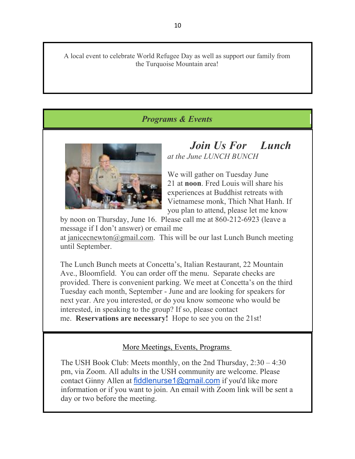A local event to celebrate World Refugee Day as well as support our family from the Turquoise Mountain area!

## *Programs & Events*



## *Join Us For Lunch at the June LUNCH BUNCH*

We will gather on Tuesday June 21 at **noon**. Fred Louis will share his experiences at Buddhist retreats with Vietnamese monk, Thich Nhat Hanh. If you plan to attend, please let me know

by noon on Thursday, June 16. Please call me at 860-212-6923 (leave a message if I don't answer) or email me

at janicecnewton@gmail.com. This will be our last Lunch Bunch meeting until September.

The Lunch Bunch meets at Concetta's, Italian Restaurant, 22 Mountain Ave., Bloomfield. You can order off the menu. Separate checks are provided. There is convenient parking. We meet at Concetta's on the third Tuesday each month, September - June and are looking for speakers for next year. Are you interested, or do you know someone who would be interested, in speaking to the group? If so, please contact me. **Reservations are necessary!** Hope to see you on the 21st!

More Meetings, Events, Programs

The USH Book Club: Meets monthly, on the 2nd Thursday, 2:30 – 4:30 pm, via Zoom. All adults in the USH community are welcome. Please contact Ginny Allen at fiddlenurse1@gmail.com if you'd like more information or if you want to join. An email with Zoom link will be sent a day or two before the meeting.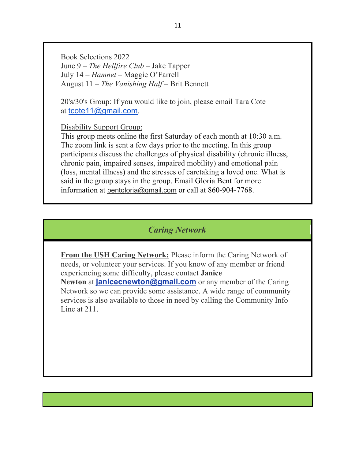Book Selections 2022 June 9 – *The Hellfire Club* – Jake Tapper July 14 – *Hamnet* – Maggie O'Farrell August 11 – *The Vanishing Half* – Brit Bennett

20's/30's Group: If you would like to join, please email Tara Cote at tcote11@gmail.com.

Disability Support Group:

This group meets online the first Saturday of each month at 10:30 a.m. The zoom link is sent a few days prior to the meeting. In this group participants discuss the challenges of physical disability (chronic illness, chronic pain, impaired senses, impaired mobility) and emotional pain (loss, mental illness) and the stresses of caretaking a loved one. What is said in the group stays in the group. Email Gloria Bent for more information at bentgloria@gmail.com or call at 860-904-7768.

## *Caring Network*

**From the USH Caring Network:** Please inform the Caring Network of needs, or volunteer your services. If you know of any member or friend experiencing some difficulty, please contact **Janice** 

**Newton** at **janicecnewton@gmail.com** or any member of the Caring Network so we can provide some assistance. A wide range of community services is also available to those in need by calling the Community Info Line at 211.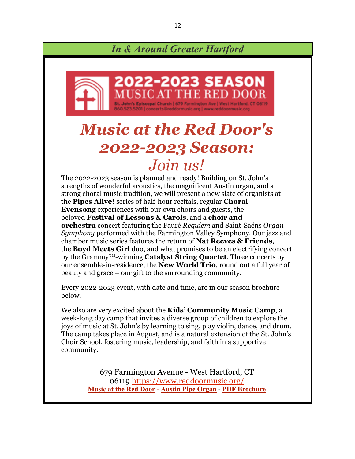# *In & Around Greater Hartford*



# *Music at the Red Door's 2022-2023 Season: Join us!*

The 2022-2023 season is planned and ready! Building on St. John's strengths of wonderful acoustics, the magnificent Austin organ, and a strong choral music tradition, we will present a new slate of organists at the **Pipes Alive!** series of half-hour recitals, regular **Choral Evensong** experiences with our own choirs and guests, the beloved **Festival of Lessons & Carols**, and a **choir and orchestra** concert featuring the Fauré *Requiem* and Saint-Saëns *Organ Symphony* performed with the Farmington Valley Symphony*.* Our jazz and chamber music series features the return of **Nat Reeves & Friends**, the **Boyd Meets Girl** duo, and what promises to be an electrifying concert by the Grammy™-winning **Catalyst String Quartet**. Three concerts by our ensemble-in-residence, the **New World Trio**, round out a full year of beauty and grace – our gift to the surrounding community.

Every 2022-2023 event, with date and time, are in our season brochure below.

We also are very excited about the **Kids' Community Music Camp**, a week-long day camp that invites a diverse group of children to explore the joys of music at St. John's by learning to sing, play violin, dance, and drum. The camp takes place in August, and is a natural extension of the St. John's Choir School, fostering music, leadership, and faith in a supportive community.

> 679 Farmington Avenue - West Hartford, CT 06119 https://www.reddoormusic.org/ **Music at the Red Door - Austin Pipe Organ - PDF Brochure**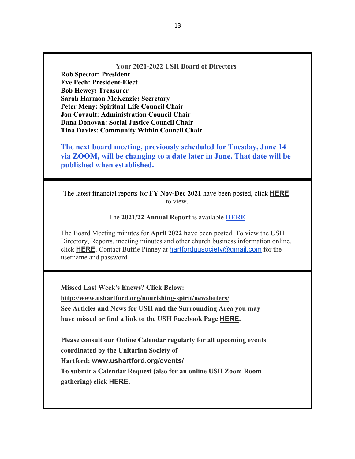**Your 2021-2022 USH Board of Directors Rob Spector: President Eve Pech: President-Elect Bob Hewey: Treasurer Sarah Harmon McKenzie: Secretary Peter Meny: Spiritual Life Council Chair Jon Covault: Administration Council Chair Dana Donovan: Social Justice Council Chair Tina Davies: Community Within Council Chair**

**The next board meeting, previously scheduled for Tuesday, June 14 via ZOOM, will be changing to a date later in June. That date will be published when established.**

The latest financial reports for **FY Nov-Dec 2021** have been posted, click **HERE** to view.

The **2021/22 Annual Report** is available **HERE**

The Board Meeting minutes for **April 2022 h**ave been posted. To view the USH Directory, Reports, meeting minutes and other church business information online, click **HERE**. Contact Buffie Pinney at hartforduusociety@gmail.com for the username and password.

**Missed Last Week's Enews? Click Below:**

**http://www.ushartford.org/nourishing-spirit/newsletters/ See Articles and News for USH and the Surrounding Area you may have missed or find a link to the USH Facebook Page HERE.**

**Please consult our Online Calendar regularly for all upcoming events coordinated by the Unitarian Society of** 

**Hartford: www.ushartford.org/events/**

**To submit a Calendar Request (also for an online USH Zoom Room gathering) click HERE.**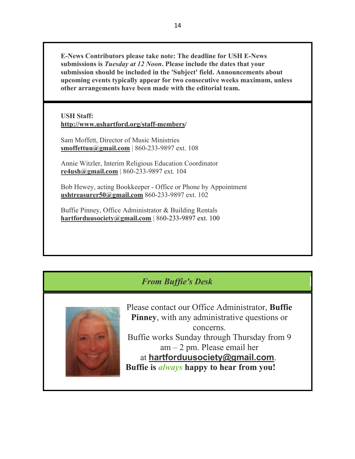**E-News Contributors please take note: The deadline for USH E-News submissions is** *Tuesday at 12 Noon***. Please include the dates that your submission should be included in the 'Subject' field. Announcements about upcoming events typically appear for two consecutive weeks maximum, unless other arrangements have been made with the editorial team.**

**USH Staff: http://www.ushartford.org/staff-members/**

Sam Moffett, Director of Music Ministries **smoffettuu@gmail.com** | 860-233-9897 ext. 108

Annie Witzler, Interim Religious Education Coordinator **re4ush@gmail.com** | 860-233-9897 ext. 104

Bob Hewey, acting Bookkeeper - Office or Phone by Appointment **ushtreasurer50@gmail.com** 860-233-9897 ext. 102

Buffie Pinney, Office Administrator & Building Rentals **hartforduusociety@gmail.com** | 860-233-9897 ext. 100

## *From Buffie's Desk*



Please contact our Office Administrator, **Buffie Pinney**, with any administrative questions or concerns. Buffie works Sunday through Thursday from 9 am – 2 pm. Please email her at **hartforduusociety@gmail.com**. **Buffie is** *always* **happy to hear from you!**